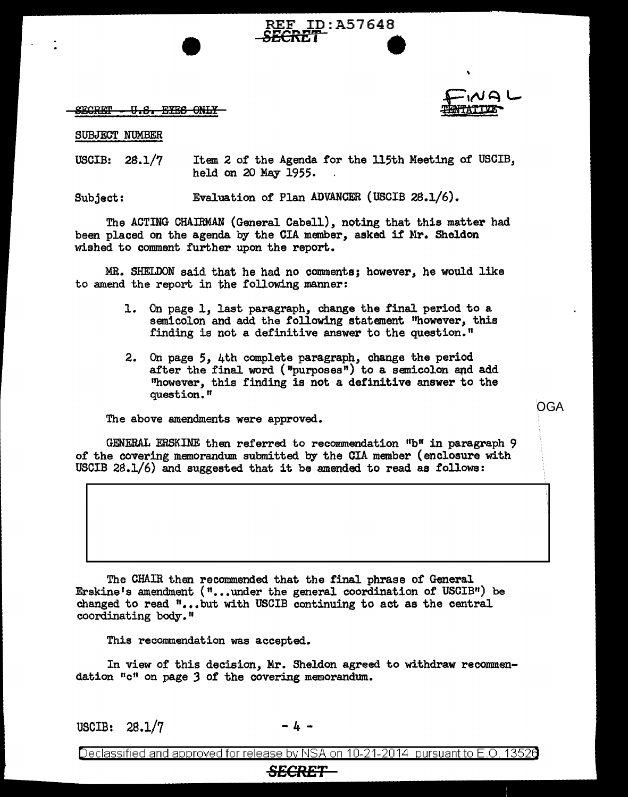

OGA

## $\tt{SEGRET}$   $\tt{U.S.}$   $\tt{EXS.}$   $\tt{OMLY}$

## SUBJECT NUMBER

USCIB: 2S.l/7 Item 2 of' the Agenda for the 115th Meeting of' USCIB, held on 20 May 1955.

**REF ID:A57648**<br>**SECRET** 

Subject: Evaluation of Plan ADVANCER (USCIB 28.1/6).

The ACTING CHAIRMAN (General Cabell), noting that this matter had been placed on the agenda by the CIA member, asked if Mr. Sheldon wished to comment further upon the report.

MR. SHELDON said that he had no comments; however, he would like to amend the report in the following manner:

- 1. On page 1, last paragraph, change the final period to a semicolon and add the following statement "however, this finding is not a definitive answer to the question."
- 2. On page 5, 4th complete paragraph, change the period after the final word ("purposes") to a semicolon and add "however, this finding is not a definitive answer to the question."

The above amendments were approved.

GENERAL ERSKINE then referred to recommendation "b" in paragraph 9 of the covering memorandum submitted by the CIA member (enclosure with USCIB  $28.1/6$  and suggested that it be amended to read as follows:

The CHAIR then recommended that the final phrase of General Erskine's amendment  $( " \ldots , )$  under the general coordination of USCIB $"$ ) be changed to read  $"$ ...but with USCIB continuing to act as the central coordinating body."

This recommendation was accepted.

In view of this decision, Mr. Sheldon agreed to withdraw recommendation "c" on page *3* of the covering memorandum.

USCIB:  $28.1/7$ 

Declassified and approved for release by NSA on 10-21-2014 pursuant to E.O. 1352e

<del>SECRET</del>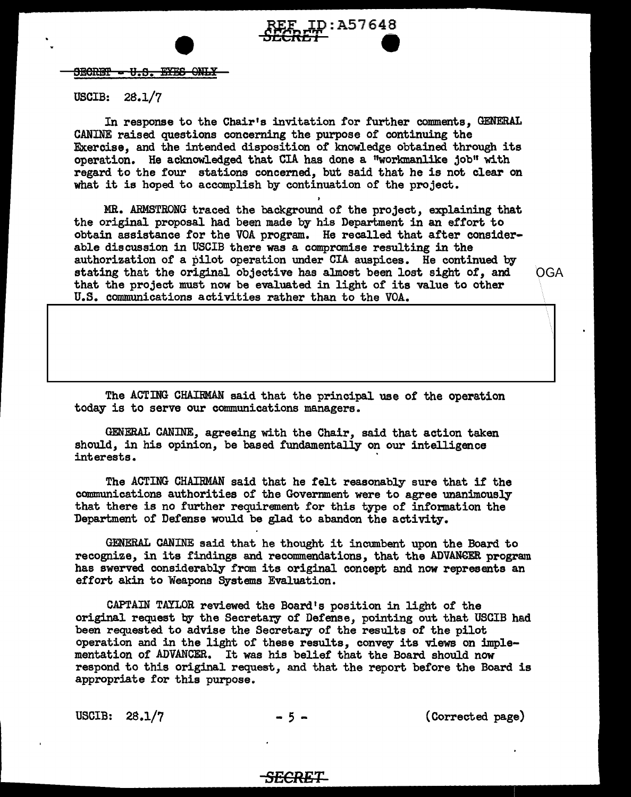

### USCIB: 28.1/7

In response to the Chair's invitation for further comments. GENERAL CANINE raised questions concerning the purpose of continuing the Exercise, and the intended disposition of knowledge obtained through its operation. He acknowledged that CIA has done a "workmanlike job" with regard to the four stations concerned, but said that he is not clear on what it is hoped to accomplish by continuation of the project.

D:A57648

MR. ARMSTRONG traced the background of the project, explaining that the original proposal had been made by his Department in an effort to obtain assistance for the VOA program. He recalled that after considerable discussion in USCIB there was a compromise resulting in the authorization of a pilot operation under CIA auspices. He continued by stating that the original objective has almost been lost sight of, and OGA that the project must now be evaluated in light of its value to other U.S. communications activities rather than to the VOA.

The ACTING CHAIRMAN said that the principal use of the operation today is to serve our communications managers.

GENERAL CANINE, agreeing with the Chair, said that action taken should, in his opinion, be based fundamentally on our intelligence interests.

The ACTING CHAIRMAN said that he felt reasonably sure that if the communications authorities of the Government were to agree unanimously that there is no further requirement for this type of information the Department of Defense would be glad to abandon the activity.

GENERAL CANINE said that he thought it incumbent upon the Board to recognize, in its findings and recommendations, that the ADVANGER program has swerved considerably from its original concept and now represents an effort akin to Weapons Systems Evaluation.

CAPTAIN TAYLOR reviewed the Board's position in light of the original request by the Secretary of Defense, pointing out that USCIB had been requested to advise the Secretary of the results of the pilot operation and in the light of these results, convey its views on implementation of ADVANCER. It was his belief that the Board should now respond to this original request, and that the report before the Board is appropriate for this purpose.

*SECRET* 

USCIB:  $28.1/7$  - 5 - (Corrected page)